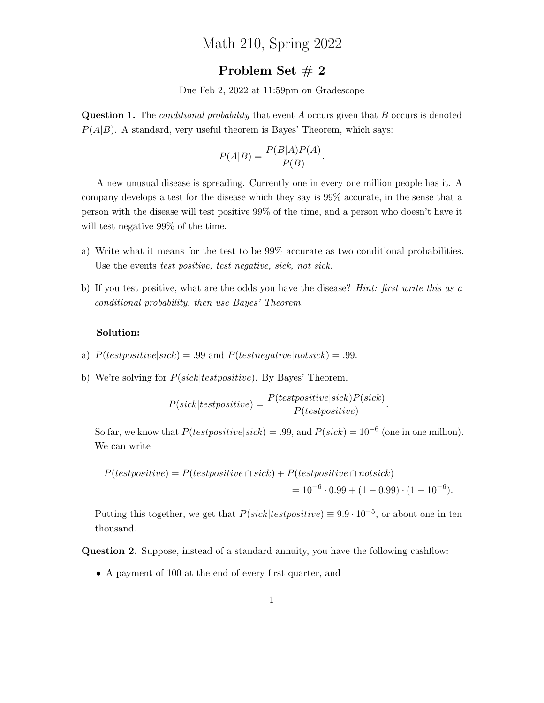# Math 210, Spring 2022

## Problem Set # 2

Due Feb 2, 2022 at 11:59pm on Gradescope

Question 1. The *conditional probability* that event A occurs given that B occurs is denoted  $P(A|B)$ . A standard, very useful theorem is Bayes' Theorem, which says:

$$
P(A|B) = \frac{P(B|A)P(A)}{P(B)}.
$$

A new unusual disease is spreading. Currently one in every one million people has it. A company develops a test for the disease which they say is 99% accurate, in the sense that a person with the disease will test positive 99% of the time, and a person who doesn't have it will test negative 99% of the time.

- a) Write what it means for the test to be 99% accurate as two conditional probabilities. Use the events test positive, test negative, sick, not sick.
- b) If you test positive, what are the odds you have the disease? Hint: first write this as a conditional probability, then use Bayes' Theorem.

### Solution:

- a)  $P(testpositive| sick) = .99$  and  $P(testnegative|notesick) = .99$ .
- b) We're solving for  $P(sick| test positive)$ . By Bayes' Theorem,

$$
P(size|test positive) = \frac{P(testpositive|sick)P(size)}{P(testpositive)}.
$$

So far, we know that  $P(testpositive|sick) = .99$ , and  $P(sick) = 10^{-6}$  (one in one million). We can write

$$
P(testpositive) = P(testpositive \cap sick) + P(testpositive \cap noisek)
$$
  
=  $10^{-6} \cdot 0.99 + (1 - 0.99) \cdot (1 - 10^{-6}).$ 

Putting this together, we get that  $P(sick| test positive) \equiv 9.9 \cdot 10^{-5}$ , or about one in ten thousand.

Question 2. Suppose, instead of a standard annuity, you have the following cashflow:

• A payment of 100 at the end of every first quarter, and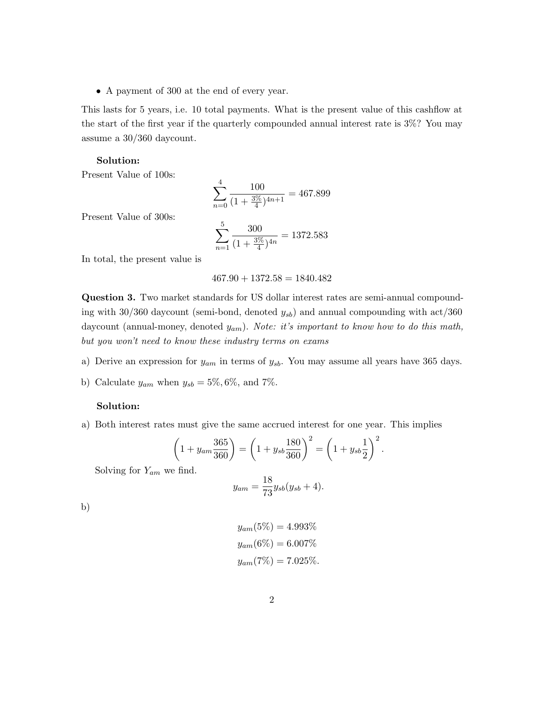• A payment of 300 at the end of every year.

This lasts for 5 years, i.e. 10 total payments. What is the present value of this cashflow at the start of the first year if the quarterly compounded annual interest rate is 3%? You may assume a 30/360 daycount.

## Solution:

Present Value of 100s:

$$
\sum_{n=0}^{4} \frac{100}{(1 + \frac{3\%}{4})^{4n+1}} = 467.899
$$

Present Value of 300s:

$$
\sum_{n=1}^{5} \frac{300}{(1 + \frac{3\%}{4})^{4n}} = 1372.583
$$

In total, the present value is

$$
467.90 + 1372.58 = 1840.482
$$

Question 3. Two market standards for US dollar interest rates are semi-annual compounding with 30/360 daycount (semi-bond, denoted  $y_{sb}$ ) and annual compounding with act/360 daycount (annual-money, denoted  $y_{am}$ ). Note: it's important to know how to do this math, but you won't need to know these industry terms on exams

- a) Derive an expression for  $y_{am}$  in terms of  $y_{sb}$ . You may assume all years have 365 days.
- b) Calculate  $y_{am}$  when  $y_{sb} = 5\%, 6\%,$  and 7%.

## Solution:

a) Both interest rates must give the same accrued interest for one year. This implies

$$
\left(1 + y_{am} \frac{365}{360}\right) = \left(1 + y_{sb} \frac{180}{360}\right)^2 = \left(1 + y_{sb} \frac{1}{2}\right)^2
$$

.

Solving for  $Y_{am}$  we find.

$$
y_{am} = \frac{18}{73} y_{sb} (y_{sb} + 4).
$$

b)

$$
y_{am}(5\%) = 4.993\%
$$
  

$$
y_{am}(6\%) = 6.007\%
$$
  

$$
y_{am}(7\%) = 7.025\%
$$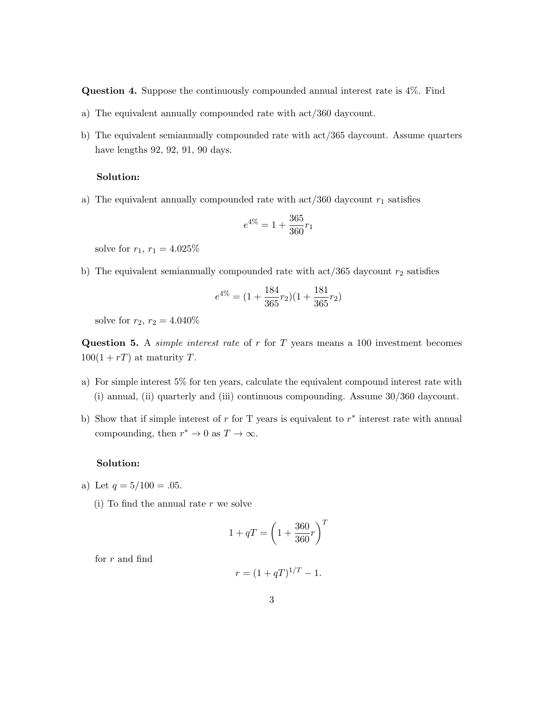Question 4. Suppose the continuously compounded annual interest rate is 4%. Find

- a) The equivalent annually compounded rate with act/360 daycount.
- b) The equivalent semiannually compounded rate with act/365 daycount. Assume quarters have lengths 92, 92, 91, 90 days.

## Solution:

a) The equivalent annually compounded rate with  $\arct{a}$  act/360 daycount  $r_1$  satisfies

$$
e^{4\%}=1+\frac{365}{360}r_1
$$

solve for  $r_1, r_1 = 4.025\%$ 

b) The equivalent semiannually compounded rate with  $\arct{365}$  daycount  $r_2$  satisfies

$$
e^{4\%} = (1 + \frac{184}{365}r_2)(1 + \frac{181}{365}r_2)
$$

solve for  $r_2$ ,  $r_2 = 4.040\%$ 

Question 5. A *simple interest rate* of  $r$  for  $T$  years means a 100 investment becomes  $100(1+rT)$  at maturity T.

- a) For simple interest 5% for ten years, calculate the equivalent compound interest rate with (i) annual, (ii) quarterly and (iii) continuous compounding. Assume 30/360 daycount.
- b) Show that if simple interest of r for T years is equivalent to  $r^*$  interest rate with annual compounding, then  $r^* \to 0$  as  $T \to \infty$ .

## Solution:

- a) Let  $q = 5/100 = .05$ .
	- (i) To find the annual rate  $r$  we solve

$$
1 + qT = \left(1 + \frac{360}{360}r\right)^T
$$

for r and find

$$
r = (1 + qT)^{1/T} - 1.
$$